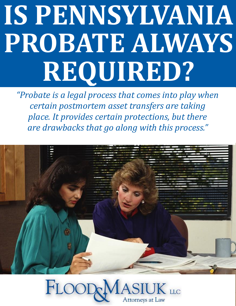# **IS PENNSYLVANIA PROBATE ALWAYS REQUIRED?**

*"Probate is a legal process that comes into play when certain postmortem asset transfers are taking place. It provides certain protections, but there are drawbacks that go along with this process."*



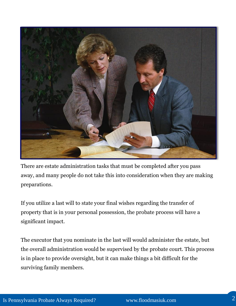

There are estate administration tasks that must be completed after you pass away, and many people do not take this into consideration when they are making preparations.

If you utilize a last will to state your final wishes regarding the transfer of property that is in your personal possession, the probate process will have a significant impact.

The executor that you nominate in the last will would administer the estate, but the overall administration would be supervised by the probate court. This process is in place to provide oversight, but it can make things a bit difficult for the surviving family members.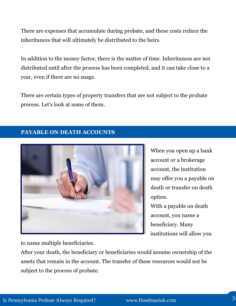There are expenses that accumulate during probate, and these costs reduce the inheritances that will ultimately be distributed to the heirs.

In addition to the money factor, there is the matter of time. Inheritances are not distributed until after the process has been completed, and it can take close to a year, even if there are no snags.

There are certain types of property transfers that are not subject to the probate process. Let's look at some of them.

## **PAYABLE ON DEATH ACCOUNTS**



When you open up a bank account or a brokerage account, the institution may offer you a payable on death or transfer on death option.

With a payable on death account, you name a beneficiary. Many institutions will allow you

to name multiple beneficiaries.

After your death, the beneficiary or beneficiaries would assume ownership of the assets that remain in the account. The transfer of these resources would not be subject to the process of probate.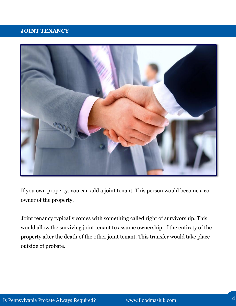## **JOINT TENANCY**



If you own property, you can add a joint tenant. This person would become a coowner of the property.

Joint tenancy typically comes with something called right of survivorship. This would allow the surviving joint tenant to assume ownership of the entirety of the property after the death of the other joint tenant. This transfer would take place outside of probate.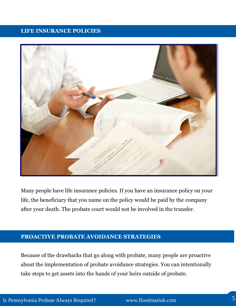#### **LIFE INSURANCE POLICIES**



Many people have life insurance policies. If you have an insurance policy on your life, the beneficiary that you name on the policy would be paid by the company after your death. The probate court would not be involved in the transfer.

## **PROACTIVE PROBATE AVOIDANCE STRATEGIES**

Because of the drawbacks that go along with probate, many people are proactive about the implementation of probate avoidance strategies. You can intentionally take steps to get assets into the hands of your heirs outside of probate.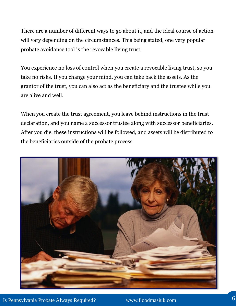There are a number of different ways to go about it, and the ideal course of action will vary depending on the circumstances. This being stated, one very popular probate avoidance tool is the revocable living trust.

You experience no loss of control when you create a revocable living trust, so you take no risks. If you change your mind, you can take back the assets. As the grantor of the trust, you can also act as the beneficiary and the trustee while you are alive and well.

When you create the trust agreement, you leave behind instructions in the trust declaration, and you name a successor trustee along with successor beneficiaries. After you die, these instructions will be followed, and assets will be distributed to the beneficiaries outside of the probate process.

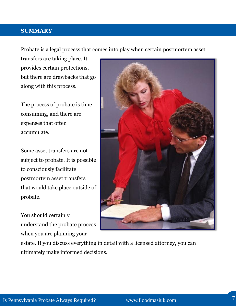#### **SUMMARY**

Probate is a legal process that comes into play when certain postmortem asset

transfers are taking place. It provides certain protections, but there are drawbacks that go along with this process.

The process of probate is timeconsuming, and there are expenses that often accumulate.

Some asset transfers are not subject to probate. It is possible to consciously facilitate postmortem asset transfers that would take place outside of probate.

You should certainly understand the probate process when you are planning your



estate. If you discuss everything in detail with a licensed attorney, you can ultimately make informed decisions.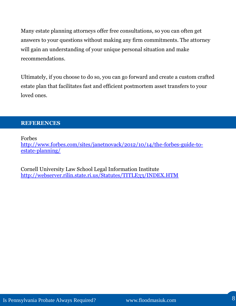Many estate planning attorneys offer free consultations, so you can often get answers to your questions without making any firm commitments. The attorney will gain an understanding of your unique personal situation and make recommendations.

Ultimately, if you choose to do so, you can go forward and create a custom crafted estate plan that facilitates fast and efficient postmortem asset transfers to your loved ones.

#### **REFERENCES**

Forbes

[http://www.forbes.com/sites/janetnovack/2012/10/14/the-forbes-guide-to](http://www.forbes.com/sites/janetnovack/2012/10/14/the-forbes-guide-to-estate-planning/)[estate-planning/](http://www.forbes.com/sites/janetnovack/2012/10/14/the-forbes-guide-to-estate-planning/)

Cornell University Law School Legal Information Institute <http://webserver.rilin.state.ri.us/Statutes/TITLE33/INDEX.HTM>